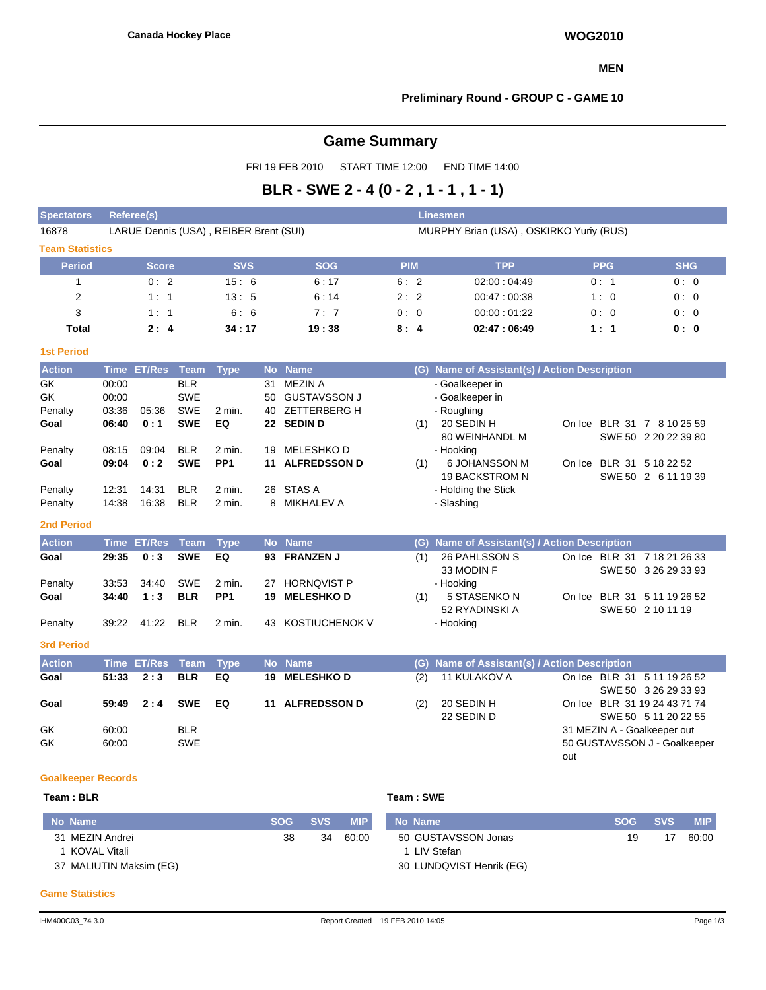### **MEN**

### **Preliminary Round - GROUP C - GAME 10**

# **Game Summary**

FRI 19 FEB 2010 START TIME 12:00 END TIME 14:00

# **BLR - SWE 2 - 4 (0 - 2 , 1 - 1 , 1 - 1)**

| <b>Spectators</b>         |       | <b>Referee(s)</b>  |             |                                        |           |                                        |                                         |           | <b>Linesmen</b>                               |     |                              |                      |            |  |  |  |
|---------------------------|-------|--------------------|-------------|----------------------------------------|-----------|----------------------------------------|-----------------------------------------|-----------|-----------------------------------------------|-----|------------------------------|----------------------|------------|--|--|--|
| 16878                     |       |                    |             | LARUE Dennis (USA), REIBER Brent (SUI) |           |                                        | MURPHY Brian (USA), OSKIRKO Yuriy (RUS) |           |                                               |     |                              |                      |            |  |  |  |
| <b>Team Statistics</b>    |       |                    |             |                                        |           |                                        |                                         |           |                                               |     |                              |                      |            |  |  |  |
| <b>Period</b>             |       | <b>Score</b>       |             | <b>SVS</b>                             |           | <b>SOG</b>                             | <b>PIM</b>                              |           | <b>TPP</b>                                    |     | <b>PPG</b>                   | <b>SHG</b>           |            |  |  |  |
| 1                         |       | 0:2                |             | 15:6                                   |           | 6:17                                   | 6:2                                     |           | 02:00:04:49                                   |     | 0:1                          | 0:0                  |            |  |  |  |
| $\overline{2}$            |       | 1:1                |             | 13:5                                   |           | 6:14                                   | 2:2                                     |           | 00:47:00:38                                   |     | 1:0                          | 0:0                  |            |  |  |  |
| 3                         |       | 1:1                |             | 6:6                                    |           | 7:7                                    | 0:0                                     |           | 00:00:01:22                                   |     | 0:0                          | 0:0                  |            |  |  |  |
| <b>Total</b>              |       | 2:4                |             | 34:17                                  |           | 19:38                                  | 8:4                                     |           | 02:47:06:49                                   |     | 1:1                          | 0: 0                 |            |  |  |  |
| <b>1st Period</b>         |       |                    |             |                                        |           |                                        |                                         |           |                                               |     |                              |                      |            |  |  |  |
| <b>Action</b>             |       | <b>Time ET/Res</b> | <b>Team</b> | <b>Type</b>                            | <b>No</b> | <b>Name</b>                            |                                         |           | (G) Name of Assistant(s) / Action Description |     |                              |                      |            |  |  |  |
| GK                        | 00:00 |                    | <b>BLR</b>  |                                        | 31        | <b>MEZIN A</b>                         |                                         |           | - Goalkeeper in                               |     |                              |                      |            |  |  |  |
| GK                        | 00:00 |                    | <b>SWE</b>  |                                        | 50        | <b>GUSTAVSSON J</b>                    |                                         |           | - Goalkeeper in                               |     |                              |                      |            |  |  |  |
| Penalty                   | 03:36 | 05:36              | <b>SWE</b>  | 2 min.                                 | 40        | <b>ZETTERBERG H</b>                    |                                         |           | - Roughing                                    |     |                              |                      |            |  |  |  |
| Goal                      | 06:40 | 0:1                | <b>SWE</b>  | EQ                                     |           | 22 SEDIN D                             |                                         | (1)       | 20 SEDIN H<br>80 WEINHANDL M                  |     | On Ice BLR 31 7 8 10 25 59   | SWE 50 2 20 22 39 80 |            |  |  |  |
| Penalty                   | 08:15 | 09:04              | <b>BLR</b>  | 2 min.                                 | 19        | MELESHKO D                             |                                         |           | - Hooking                                     |     |                              |                      |            |  |  |  |
| Goal                      | 09:04 | 0:2                | <b>SWE</b>  | PP <sub>1</sub>                        | 11        | <b>ALFREDSSON D</b>                    |                                         | (1)       | 6 JOHANSSON M<br><b>19 BACKSTROM N</b>        |     | On Ice BLR 31 5 18 22 52     | SWE 50 2 6 11 19 39  |            |  |  |  |
| Penalty                   | 12:31 | 14:31              | <b>BLR</b>  | 2 min.                                 |           | 26 STAS A                              |                                         |           | - Holding the Stick                           |     |                              |                      |            |  |  |  |
| Penalty                   | 14:38 | 16:38              | <b>BLR</b>  | 2 min.                                 | 8         | MIKHALEV A                             |                                         |           | - Slashing                                    |     |                              |                      |            |  |  |  |
| <b>2nd Period</b>         |       |                    |             |                                        |           |                                        |                                         |           |                                               |     |                              |                      |            |  |  |  |
| <b>Action</b>             |       | <b>Time ET/Res</b> | <b>Team</b> | <b>Type</b>                            | <b>No</b> | <b>Name</b>                            |                                         | (G)       | Name of Assistant(s) / Action Description     |     |                              |                      |            |  |  |  |
| Goal                      | 29:35 | 0:3                | <b>SWE</b>  | EQ                                     | 93        | <b>FRANZEN J</b>                       |                                         | (1)       | 26 PAHLSSON S                                 |     | On Ice BLR 31 7 18 21 26 33  |                      |            |  |  |  |
|                           |       |                    |             |                                        |           |                                        |                                         |           | 33 MODIN F                                    |     |                              | SWE 50 3 26 29 33 93 |            |  |  |  |
| Penalty                   | 33:53 | 34:40              | <b>SWE</b>  | 2 min.                                 | 27        | <b>HORNQVIST P</b>                     |                                         |           | - Hooking                                     |     |                              |                      |            |  |  |  |
| Goal                      | 34:40 | 1:3                | <b>BLR</b>  | PP <sub>1</sub>                        | 19        | <b>MELESHKOD</b>                       |                                         | (1)       | 5 STASENKO N                                  |     | On Ice BLR 31 5 11 19 26 52  |                      |            |  |  |  |
|                           |       |                    |             |                                        |           |                                        |                                         |           | 52 RYADINSKI A                                |     |                              | SWE 50 2 10 11 19    |            |  |  |  |
| Penalty                   | 39:22 | 41:22              | <b>BLR</b>  | 2 min.                                 |           | 43 KOSTIUCHENOK V                      |                                         |           | - Hooking                                     |     |                              |                      |            |  |  |  |
| <b>3rd Period</b>         |       |                    |             |                                        |           |                                        |                                         |           |                                               |     |                              |                      |            |  |  |  |
| <b>Action</b>             |       | <b>Time ET/Res</b> | <b>Team</b> | <b>Type</b>                            |           | No Name                                |                                         |           | (G) Name of Assistant(s) / Action Description |     |                              |                      |            |  |  |  |
| Goal                      | 51:33 | 2:3                | <b>BLR</b>  | EQ                                     | 19        | <b>MELESHKOD</b>                       |                                         | (2)       | 11 KULAKOV A                                  |     | On Ice BLR 31 5 11 19 26 52  | SWE 50 3 26 29 33 93 |            |  |  |  |
| Goal                      | 59:49 | 2:4                | <b>SWE</b>  | EQ                                     |           | 11 ALFREDSSON D                        |                                         | (2)       | 20 SEDIN H                                    |     | On Ice BLR 31 19 24 43 71 74 |                      |            |  |  |  |
|                           |       |                    |             |                                        |           |                                        |                                         |           | 22 SEDIN D                                    |     |                              | SWE 50 5 11 20 22 55 |            |  |  |  |
| GK                        | 60:00 |                    | <b>BLR</b>  |                                        |           |                                        |                                         |           |                                               |     | 31 MEZIN A - Goalkeeper out  |                      |            |  |  |  |
| GK                        | 60:00 |                    | <b>SWE</b>  |                                        |           |                                        |                                         |           |                                               |     | 50 GUSTAVSSON J - Goalkeeper |                      |            |  |  |  |
|                           |       |                    |             |                                        |           |                                        |                                         |           |                                               | out |                              |                      |            |  |  |  |
| <b>Goalkeeper Records</b> |       |                    |             |                                        |           |                                        |                                         |           |                                               |     |                              |                      |            |  |  |  |
| Team: BLR                 |       |                    |             |                                        |           |                                        |                                         | Team: SWE |                                               |     |                              |                      |            |  |  |  |
| No Name                   |       |                    |             |                                        |           | <b>SOC</b><br><b>QVQ</b><br><b>MID</b> |                                         | No. Namo  |                                               |     | <b>SOC</b>                   | <b>SVS</b>           | <b>MID</b> |  |  |  |

| No Name                 | SOG / | <b>SVS</b> | <b>MIP</b> | No Name                  | <b>SOG</b> | <b>SVS</b> | <b>MIP</b> |
|-------------------------|-------|------------|------------|--------------------------|------------|------------|------------|
| 31 MEZIN Andrei         | 38    | 34         | 60:00      | 50 GUSTAVSSON Jonas      | 19         |            | 60:00      |
| KOVAL Vitali            |       |            |            | I LIV Stefan             |            |            |            |
| 37 MALIUTIN Maksim (EG) |       |            |            | 30 LUNDQVIST Henrik (EG) |            |            |            |
|                         |       |            |            |                          |            |            |            |

#### **Game Statistics**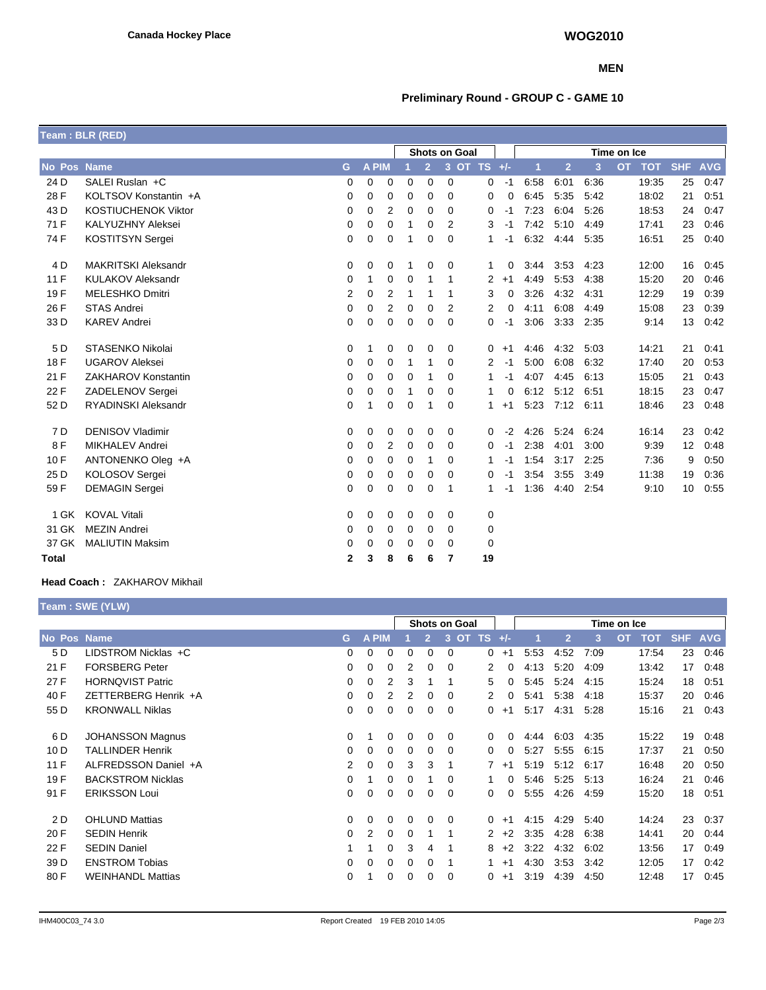### **MEN**

## **Preliminary Round - GROUP C - GAME 10**

|              | Team: BLR (RED)            |   |              |                |             |                |                      |    |      |      |                |      |                         |            |            |
|--------------|----------------------------|---|--------------|----------------|-------------|----------------|----------------------|----|------|------|----------------|------|-------------------------|------------|------------|
|              |                            |   |              |                |             |                | <b>Shots on Goal</b> |    |      |      |                |      | Time on Ice             |            |            |
| No Pos Name  |                            | G | <b>A PIM</b> |                |             | $\overline{2}$ | 3 OT TS +/-          |    |      | 1    | $\overline{2}$ | 3    | <b>OT</b><br><b>TOT</b> | <b>SHF</b> | <b>AVG</b> |
| 24 D         | SALEI Ruslan +C            | 0 | 0            | 0              | 0           | 0              | 0                    | 0  | $-1$ | 6:58 | 6:01           | 6:36 | 19:35                   | 25         | 0:47       |
| 28 F         | KOLTSOV Konstantin +A      | 0 | 0            | 0              | 0           | 0              | 0                    | 0  | 0    | 6:45 | 5:35           | 5:42 | 18:02                   | 21         | 0:51       |
| 43 D         | <b>KOSTIUCHENOK Viktor</b> | 0 | 0            | $\overline{2}$ | 0           | 0              | $\Omega$             | 0  | -1   | 7:23 | 6:04           | 5:26 | 18:53                   | 24         | 0.47       |
| 71 F         | <b>KALYUZHNY Aleksei</b>   | 0 | 0            | 0              | 1           | 0              | 2                    | 3  | -1   | 7:42 | 5:10           | 4:49 | 17:41                   | 23         | 0:46       |
| 74 F         | KOSTITSYN Sergei           | 0 | 0            | 0              | 1           | 0              | $\Omega$             | 1  | -1   | 6:32 | 4.44           | 5:35 | 16:51                   | 25         | 0:40       |
| 4 D          | <b>MAKRITSKI Aleksandr</b> | 0 | 0            | 0              | 1           | 0              | 0                    | 1  | 0    | 3:44 | 3:53           | 4:23 | 12:00                   | 16         | 0:45       |
| 11F          | <b>KULAKOV Aleksandr</b>   | 0 | 1            | 0              | $\mathbf 0$ | 1              | 1                    | 2  | $+1$ | 4:49 | 5:53           | 4:38 | 15:20                   | 20         | 0:46       |
| 19F          | <b>MELESHKO Dmitri</b>     | 2 | 0            | $\overline{2}$ | 1           | 1              | 1                    | 3  | 0    | 3:26 | 4:32           | 4:31 | 12:29                   | 19         | 0:39       |
| 26 F         | <b>STAS Andrei</b>         | 0 | 0            | $\overline{2}$ | $\mathbf 0$ | 0              | 2                    | 2  | 0    | 4:11 | 6:08           | 4:49 | 15:08                   | 23         | 0:39       |
| 33 D         | <b>KAREV Andrei</b>        | 0 | 0            | 0              | 0           | 0              | $\Omega$             | 0  | -1   | 3:06 | 3:33           | 2:35 | 9:14                    | 13         | 0.42       |
| 5 D          | STASENKO Nikolai           | 0 | 1            | 0              | 0           | 0              | 0                    | 0  | $+1$ | 4:46 | 4:32           | 5:03 | 14:21                   | 21         | 0:41       |
| 18 F         | <b>UGAROV Aleksei</b>      | 0 | 0            | $\mathbf 0$    | 1           | 1              | $\Omega$             | 2  | $-1$ | 5:00 | 6:08           | 6:32 | 17:40                   | 20         | 0.53       |
| 21 F         | ZAKHAROV Konstantin        | 0 | 0            | $\mathbf 0$    | $\mathbf 0$ | 1              | 0                    | 1  | -1   | 4:07 | 4:45           | 6:13 | 15:05                   | 21         | 0:43       |
| 22 F         | ZADELENOV Sergei           | 0 | 0            | 0              | 1           | 0              | 0                    | 1  | 0    | 6:12 | 5:12           | 6:51 | 18:15                   | 23         | 0:47       |
| 52 D         | <b>RYADINSKI Aleksandr</b> | 0 | 1            | 0              | 0           | 1              | $\Omega$             | 1  | $+1$ | 5:23 | 7:12           | 6:11 | 18:46                   | 23         | 0:48       |
| 7 D          | <b>DENISOV Vladimir</b>    | 0 | 0            | 0              | 0           | 0              | 0                    | 0  | $-2$ | 4:26 | 5:24           | 6:24 | 16:14                   | 23         | 0.42       |
| 8F           | <b>MIKHALEV Andrei</b>     | 0 | 0            | $\overline{2}$ | 0           | 0              | 0                    | 0  | $-1$ | 2:38 | 4:01           | 3:00 | 9:39                    | 12         | 0:48       |
| 10F          | ANTONENKO Oleg +A          | 0 | 0            | $\mathbf 0$    | $\mathbf 0$ | 1              | $\Omega$             | 1  | -1   | 1:54 | 3:17           | 2:25 | 7:36                    | 9          | 0:50       |
| 25 D         | KOLOSOV Sergei             | 0 | 0            | $\mathbf 0$    | $\mathbf 0$ | 0              | $\Omega$             | 0  | -1   | 3:54 | 3:55           | 3:49 | 11:38                   | 19         | 0:36       |
| 59 F         | <b>DEMAGIN Sergei</b>      | 0 | 0            | $\mathbf 0$    | $\mathbf 0$ | 0              | 1                    | 1  | -1   | 1:36 | 4:40           | 2:54 | 9:10                    | 10         | 0:55       |
| 1 GK         | <b>KOVAL Vitali</b>        | 0 | 0            | 0              | 0           | 0              | 0                    | 0  |      |      |                |      |                         |            |            |
| 31 GK        | <b>MEZIN Andrei</b>        | 0 | 0            | 0              | 0           | 0              | 0                    | 0  |      |      |                |      |                         |            |            |
| 37 GK        | <b>MALIUTIN Maksim</b>     | 0 | 0            | 0              | 0           | 0              | 0                    | 0  |      |      |                |      |                         |            |            |
| <b>Total</b> |                            | 2 | 3            | 8              | 6           | 6              | 7                    | 19 |      |      |                |      |                         |            |            |

#### **Head Coach :** ZAKHAROV Mikhail

**Team : SWE (YLW)**

|             |                          |          |              |          |          |                | <b>Shots on Goal</b> |                |       |      |                |      | Time on Ice |            |            |            |
|-------------|--------------------------|----------|--------------|----------|----------|----------------|----------------------|----------------|-------|------|----------------|------|-------------|------------|------------|------------|
| No Pos Name |                          | G.       | <b>A PIM</b> |          |          | $\overline{2}$ | 3<br><b>OT</b>       | <b>TS</b>      | $+/-$ |      | $\overline{2}$ | 3    | <b>OT</b>   | <b>TOT</b> | <b>SHF</b> | <b>AVG</b> |
| 5 D         | LIDSTROM Nicklas +C      | 0        |              | $\Omega$ | $\Omega$ |                | 0                    | $\Omega$       | $+1$  | 5:53 | 4:52           | 7:09 |             | 17:54      | 23         | 0:46       |
| 21 F        | <b>FORSBERG Peter</b>    | 0        | 0            | 0        | 2        | 0              | 0                    | 2              | 0     | 4:13 | 5:20           | 4:09 |             | 13:42      | 17         | 0:48       |
| 27 F        | <b>HORNQVIST Patric</b>  | 0        | $\Omega$     | 2        | 3        |                | 1                    | 5              | 0     | 5:45 | 5:24           | 4:15 |             | 15:24      | 18         | 0:51       |
| 40 F        | ZETTERBERG Henrik +A     | 0        | $\Omega$     | 2        | 2        | 0              | 0                    | 2              | 0     | 5:41 | 5:38           | 4:18 |             | 15:37      | 20         | 0:46       |
| 55 D        | <b>KRONWALL Niklas</b>   | 0        | $\Omega$     | 0        | 0        | 0              | $\Omega$             | 0              | $+1$  | 5:17 | 4:31           | 5:28 |             | 15:16      | 21         | 0:43       |
| 6 D         | <b>JOHANSSON Magnus</b>  | 0        |              | 0        | 0        | 0              | $\Omega$             | 0              | 0     | 4:44 | 6:03           | 4:35 |             | 15:22      | 19         | 0:48       |
| 10 D        | <b>TALLINDER Henrik</b>  | 0        | $\Omega$     | 0        | 0        | 0              | 0                    | 0              | 0     | 5:27 | 5:55           | 6:15 |             | 17:37      | 21         | 0:50       |
| 11 F        | ALFREDSSON Daniel +A     | 2        | $\Omega$     | 0        | 3        | 3              | 1                    |                | $+1$  | 5:19 | 5:12           | 6:17 |             | 16:48      | 20         | 0:50       |
| 19F         | <b>BACKSTROM Nicklas</b> | 0        |              | 0        | $\Omega$ |                | $\Omega$             | $\overline{1}$ | 0     | 5:46 | 5:25           | 5:13 |             | 16:24      | 21         | 0:46       |
| 91 F        | <b>ERIKSSON Loui</b>     | 0        | $\Omega$     | 0        | 0        | 0              | $\Omega$             | 0              | 0     | 5:55 | 4:26           | 4:59 |             | 15:20      | 18         | 0:51       |
| 2 D         | <b>OHLUND Mattias</b>    | 0        | 0            | 0        | 0        | $\Omega$       | $\Omega$             | $\Omega$       | $+1$  | 4:15 | 4:29           | 5:40 |             | 14:24      | 23         | 0:37       |
| 20 F        | <b>SEDIN Henrik</b>      | $\Omega$ | 2            | 0        | $\Omega$ |                | 1                    | 2              | $+2$  | 3:35 | 4:28           | 6:38 |             | 14:41      | 20         | 0:44       |
| 22 F        | <b>SEDIN Daniel</b>      |          |              | 0        | 3        | 4              | 1                    | 8              | $+2$  | 3:22 | 4:32           | 6:02 |             | 13:56      | 17         | 0:49       |
| 39 D        | <b>ENSTROM Tobias</b>    | 0        | $\Omega$     | 0        | 0        | 0              | 1                    | 1              | $+1$  | 4:30 | 3:53           | 3:42 |             | 12:05      | 17         | 0:42       |
| 80 F        | <b>WEINHANDL Mattias</b> | 0        |              | 0        | 0        | 0              | 0                    | 0              | $+1$  | 3:19 | 4:39           | 4:50 |             | 12:48      | 17         | 0:45       |